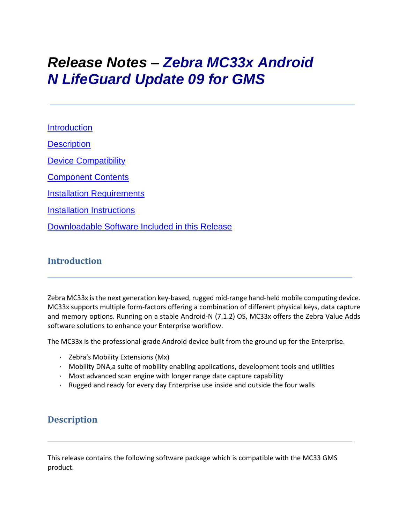# *Release Notes – Zebra MC33x Android N LifeGuard Update 09 for GMS*

**[Introduction](#page-0-0) [Description](#page-0-1)** 

[Device Compatibility](#page-7-0)

[Component Contents](#page-1-0)

[Installation Requirements](#page-10-0)

[Installation Instructions](#page-10-1)

[Downloadable Software Included in this Release](#page-12-0)

# <span id="page-0-0"></span>**Introduction**

Zebra MC33x is the next generation key-based, rugged mid-range hand-held mobile computing device. MC33x supports multiple form-factors offering a combination of different physical keys, data capture and memory options. Running on a stable Android-N (7.1.2) OS, MC33x offers the Zebra Value Adds software solutions to enhance your Enterprise workflow.

The MC33x is the professional-grade Android device built from the ground up for the Enterprise.

- · Zebra's Mobility Extensions (Mx)
- · Mobility DNA,a suite of mobility enabling applications, development tools and utilities
- · Most advanced scan engine with longer range date capture capability
- · Rugged and ready for every day Enterprise use inside and outside the four walls

# <span id="page-0-1"></span>**Description**

This release contains the following software package which is compatible with the MC33 GMS product.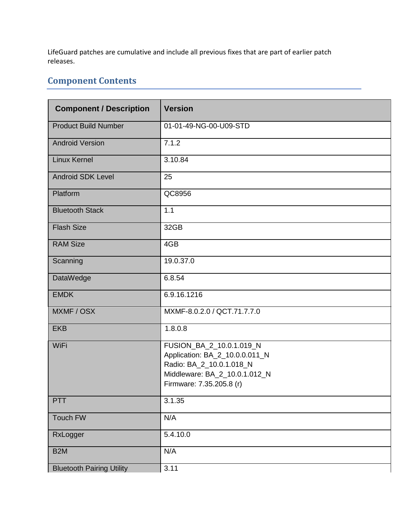LifeGuard patches are cumulative and include all previous fixes that are part of earlier patch releases.

# <span id="page-1-0"></span>**Component Contents**

| <b>Component / Description</b>   | <b>Version</b>                                                                                                                                      |  |  |
|----------------------------------|-----------------------------------------------------------------------------------------------------------------------------------------------------|--|--|
| <b>Product Build Number</b>      | 01-01-49-NG-00-U09-STD                                                                                                                              |  |  |
| <b>Android Version</b>           | 7.1.2                                                                                                                                               |  |  |
| <b>Linux Kernel</b>              | 3.10.84                                                                                                                                             |  |  |
| <b>Android SDK Level</b>         | 25                                                                                                                                                  |  |  |
| Platform                         | QC8956                                                                                                                                              |  |  |
| <b>Bluetooth Stack</b>           | 1.1                                                                                                                                                 |  |  |
| <b>Flash Size</b>                | 32GB                                                                                                                                                |  |  |
| <b>RAM Size</b>                  | 4GB                                                                                                                                                 |  |  |
| Scanning                         | 19.0.37.0                                                                                                                                           |  |  |
| <b>DataWedge</b>                 | 6.8.54                                                                                                                                              |  |  |
| <b>EMDK</b>                      | 6.9.16.1216                                                                                                                                         |  |  |
| MXMF / OSX                       | MXMF-8.0.2.0 / QCT.71.7.7.0                                                                                                                         |  |  |
| <b>EKB</b>                       | 1.8.0.8                                                                                                                                             |  |  |
| WiFi                             | FUSION_BA_2_10.0.1.019_N<br>Application: BA_2_10.0.0.011_N<br>Radio: BA_2_10.0.1.018_N<br>Middleware: BA_2_10.0.1.012_N<br>Firmware: 7.35.205.8 (r) |  |  |
| <b>PTT</b>                       | 3.1.35                                                                                                                                              |  |  |
| Touch FW                         | N/A                                                                                                                                                 |  |  |
| RxLogger                         | 5.4.10.0                                                                                                                                            |  |  |
| B <sub>2</sub> M                 | N/A                                                                                                                                                 |  |  |
| <b>Bluetooth Pairing Utility</b> | 3.11                                                                                                                                                |  |  |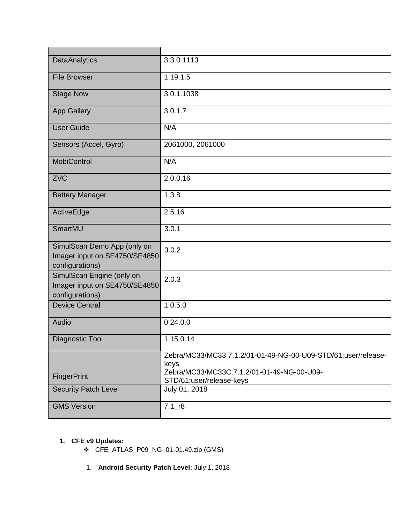| <b>DataAnalytics</b>                                                            | 3.3.0.1113                                                             |
|---------------------------------------------------------------------------------|------------------------------------------------------------------------|
| <b>File Browser</b>                                                             | 1.19.1.5                                                               |
| <b>Stage Now</b>                                                                | 3.0.1.1038                                                             |
| <b>App Gallery</b>                                                              | 3.0.1.7                                                                |
| <b>User Guide</b>                                                               | N/A                                                                    |
| Sensors (Accel, Gyro)                                                           | 2061000, 2061000                                                       |
| <b>MobiControl</b>                                                              | N/A                                                                    |
| <b>ZVC</b>                                                                      | 2.0.0.16                                                               |
| <b>Battery Manager</b>                                                          | 1.3.8                                                                  |
| ActiveEdge                                                                      | 2.5.16                                                                 |
| SmartMU                                                                         | 3.0.1                                                                  |
| SimulScan Demo App (only on<br>Imager input on SE4750/SE4850<br>configurations) | 3.0.2                                                                  |
| SimulScan Engine (only on<br>Imager input on SE4750/SE4850<br>configurations)   | 2.0.3                                                                  |
| <b>Device Central</b>                                                           | 1.0.5.0                                                                |
| Audio                                                                           | 0.24.0.0                                                               |
| Diagnostic Tool                                                                 | 1.15.0.14                                                              |
|                                                                                 | Zebra/MC33/MC33:7.1.2/01-01-49-NG-00-U09-STD/61:user/release-<br>keys  |
| FingerPrint                                                                     | Zebra/MC33/MC33C:7.1.2/01-01-49-NG-00-U09-<br>STD/61:user/release-keys |
| <b>Security Patch Level</b>                                                     | July 01, 2018                                                          |
| <b>GMS Version</b>                                                              | $7.1$ _r8                                                              |

# **1. CFE v9 Updates:**

- ❖ CFE\_ATLAS\_P09\_NG\_01-01.49.zip (GMS)
- 1. **Android Security Patch Level:** July 1, 2018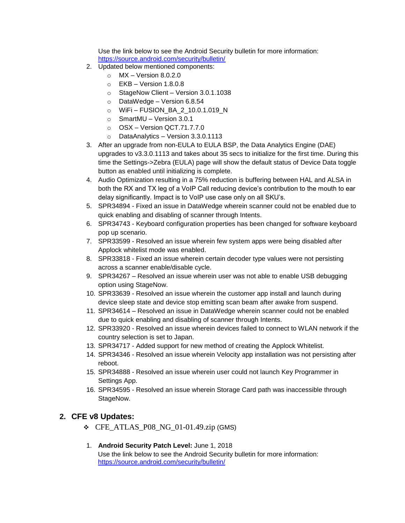Use the link below to see the Android Security bulletin for more information: <https://source.android.com/security/bulletin/>

- 2. Updated below mentioned components:
	- $\circ$  MX Version 8.0.2.0
	- $\circ$  EKB Version 1.8.0.8
	- o StageNow Client Version 3.0.1.1038
	- o DataWedge Version 6.8.54
	- o WiFi FUSION\_BA\_2\_10.0.1.019\_N
	- o SmartMU Version 3.0.1
	- o OSX Version QCT.71.7.7.0
	- o DataAnalytics Version 3.3.0.1113
- 3. After an upgrade from non-EULA to EULA BSP, the Data Analytics Engine (DAE) upgrades to v3.3.0.1113 and takes about 35 secs to initialize for the first time. During this time the Settings->Zebra (EULA) page will show the default status of Device Data toggle button as enabled until initializing is complete.
- 4. Audio Optimization resulting in a 75% reduction is buffering between HAL and ALSA in both the RX and TX leg of a VoIP Call reducing device's contribution to the mouth to ear delay significantly. Impact is to VoIP use case only on all SKU's.
- 5. SPR34894 Fixed an issue in DataWedge wherein scanner could not be enabled due to quick enabling and disabling of scanner through Intents.
- 6. SPR34743 Keyboard configuration properties has been changed for software keyboard pop up scenario.
- 7. SPR33599 Resolved an issue wherein few system apps were being disabled after Applock whitelist mode was enabled.
- 8. SPR33818 Fixed an issue wherein certain decoder type values were not persisting across a scanner enable/disable cycle.
- 9. SPR34267 Resolved an issue wherein user was not able to enable USB debugging option using StageNow.
- 10. SPR33639 Resolved an issue wherein the customer app install and launch during device sleep state and device stop emitting scan beam after awake from suspend.
- 11. SPR34614 Resolved an issue in DataWedge wherein scanner could not be enabled due to quick enabling and disabling of scanner through Intents.
- 12. SPR33920 Resolved an issue wherein devices failed to connect to WLAN network if the country selection is set to Japan.
- 13. SPR34717 Added support for new method of creating the Applock Whitelist.
- 14. SPR34346 Resolved an issue wherein Velocity app installation was not persisting after reboot.
- 15. SPR34888 Resolved an issue wherein user could not launch Key Programmer in Settings App.
- 16. SPR34595 Resolved an issue wherein Storage Card path was inaccessible through StageNow.

#### **2. CFE v8 Updates:**

- $\div$  CFE\_ATLAS\_P08\_NG\_01-01.49.zip (GMS)
- 1. **Android Security Patch Level:** June 1, 2018 Use the link below to see the Android Security bulletin for more information: <https://source.android.com/security/bulletin/>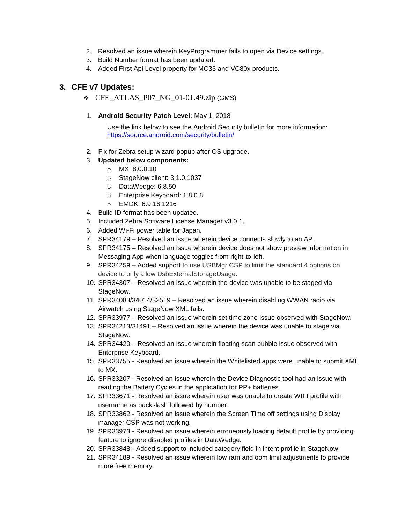- 2. Resolved an issue wherein KeyProgrammer fails to open via Device settings.
- 3. Build Number format has been updated.
- 4. Added First Api Level property for MC33 and VC80x products.

#### **3. CFE v7 Updates:**

 $\div$  CFE\_ATLAS\_P07\_NG\_01-01.49.zip (GMS)

#### 1. **Android Security Patch Level:** May 1, 2018

Use the link below to see the Android Security bulletin for more information: <https://source.android.com/security/bulletin/>

- 2. Fix for Zebra setup wizard popup after OS upgrade.
- 3. **Updated below components:**
	- $\circ$  MX: 8.0.0.10
	- o StageNow client: 3.1.0.1037
	- o DataWedge: 6.8.50
	- o Enterprise Keyboard: 1.8.0.8
	- o EMDK: 6.9.16.1216
- 4. Build ID format has been updated.
- 5. Included Zebra Software License Manager v3.0.1.
- 6. Added Wi-Fi power table for Japan.
- 7. SPR34179 Resolved an issue wherein device connects slowly to an AP.
- 8. SPR34175 Resolved an issue wherein device does not show preview information in Messaging App when language toggles from right-to-left.
- 9. SPR34259 Added support to use USBMgr CSP to limit the standard 4 options on device to only allow UsbExternalStorageUsage.
- 10. SPR34307 Resolved an issue wherein the device was unable to be staged via StageNow.
- 11. SPR34083/34014/32519 Resolved an issue wherein disabling WWAN radio via Airwatch using StageNow XML fails.
- 12. SPR33977 Resolved an issue wherein set time zone issue observed with StageNow.
- 13. SPR34213/31491 Resolved an issue wherein the device was unable to stage via StageNow.
- 14. SPR34420 Resolved an issue wherein floating scan bubble issue observed with Enterprise Keyboard.
- 15. SPR33755 Resolved an issue wherein the Whitelisted apps were unable to submit XML to MX.
- 16. SPR33207 Resolved an issue wherein the Device Diagnostic tool had an issue with reading the Battery Cycles in the application for PP+ batteries.
- 17. SPR33671 Resolved an issue wherein user was unable to create WIFI profile with username as backslash followed by number.
- 18. SPR33862 Resolved an issue wherein the Screen Time off settings using Display manager CSP was not working.
- 19. SPR33973 Resolved an issue wherein erroneously loading default profile by providing feature to ignore disabled profiles in DataWedge.
- 20. SPR33848 Added support to included category field in intent profile in StageNow.
- 21. SPR34189 Resolved an issue wherein low ram and oom limit adjustments to provide more free memory.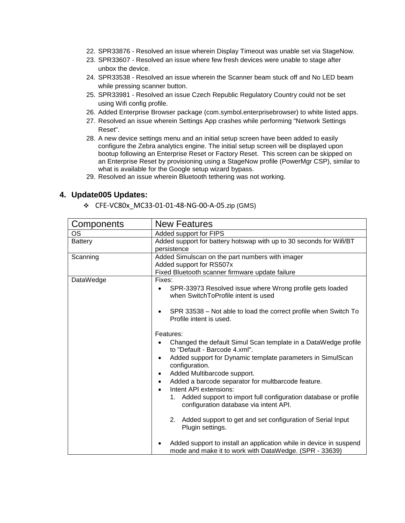- 22. SPR33876 Resolved an issue wherein Display Timeout was unable set via StageNow.
- 23. SPR33607 Resolved an issue where few fresh devices were unable to stage after unbox the device.
- 24. SPR33538 Resolved an issue wherein the Scanner beam stuck off and No LED beam while pressing scanner button.
- 25. SPR33981 Resolved an issue Czech Republic Regulatory Country could not be set using Wifi config profile.
- 26. Added Enterprise Browser package (com.symbol.enterprisebrowser) to white listed apps.
- 27. Resolved an issue wherein Settings App crashes while performing "Network Settings Reset".
- 28. A new device settings menu and an initial setup screen have been added to easily configure the Zebra analytics engine. The initial setup screen will be displayed upon bootup following an Enterprise Reset or Factory Reset. This screen can be skipped on an Enterprise Reset by provisioning using a StageNow profile (PowerMgr CSP), similar to what is available for the Google setup wizard bypass.
- 29. Resolved an issue wherein Bluetooth tethering was not working.

#### **4. Update005 Updates:**

❖ CFE-VC80x\_MC33-01-01-48-NG-00-A-05.zip (GMS)

| Components     | <b>New Features</b>                                                                                                          |  |
|----------------|------------------------------------------------------------------------------------------------------------------------------|--|
| OS             | Added support for FIPS                                                                                                       |  |
| <b>Battery</b> | Added support for battery hotswap with up to 30 seconds for Wifi/BT                                                          |  |
|                | persistence                                                                                                                  |  |
| Scanning       | Added Simulscan on the part numbers with imager                                                                              |  |
|                | Added support for RS507x                                                                                                     |  |
|                | Fixed Bluetooth scanner firmware update failure                                                                              |  |
| DataWedge      | Fixes:                                                                                                                       |  |
|                | SPR-33973 Resolved issue where Wrong profile gets loaded<br>when SwitchToProfile intent is used                              |  |
|                | SPR 33538 – Not able to load the correct profile when Switch To<br>Profile intent is used.                                   |  |
|                | Features:                                                                                                                    |  |
|                | Changed the default Simul Scan template in a DataWedge profile<br>to "Default - Barcode 4.xml".                              |  |
|                | Added support for Dynamic template parameters in SimulScan<br>configuration.                                                 |  |
|                | Added Multibarcode support.                                                                                                  |  |
|                | Added a barcode separator for multbarcode feature.<br>Intent API extensions:                                                 |  |
|                | 1. Added support to import full configuration database or profile<br>configuration database via intent API.                  |  |
|                | Added support to get and set configuration of Serial Input<br>2.<br>Plugin settings.                                         |  |
|                | Added support to install an application while in device in suspend<br>mode and make it to work with DataWedge. (SPR - 33639) |  |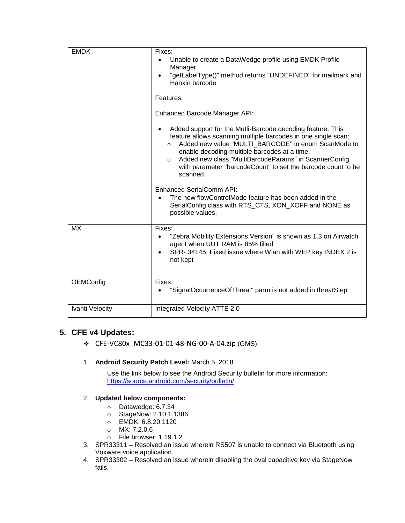| <b>EMDK</b>     | Fixes:<br>Unable to create a DataWedge profile using EMDK Profile                                                                                                                                                                                                                                                                                                                             |  |  |
|-----------------|-----------------------------------------------------------------------------------------------------------------------------------------------------------------------------------------------------------------------------------------------------------------------------------------------------------------------------------------------------------------------------------------------|--|--|
|                 | Manager.                                                                                                                                                                                                                                                                                                                                                                                      |  |  |
|                 | "getLabelType()" method returns "UNDEFINED" for mailmark and<br>Hanxin barcode                                                                                                                                                                                                                                                                                                                |  |  |
|                 | Features:                                                                                                                                                                                                                                                                                                                                                                                     |  |  |
|                 | Enhanced Barcode Manager API:                                                                                                                                                                                                                                                                                                                                                                 |  |  |
|                 | Added support for the Mutli-Barcode decoding feature. This<br>feature allows scanning multiple barcodes in one single scan:<br>Added new value "MULTI BARCODE" in enum ScanMode to<br>$\circ$<br>enable decoding multiple barcodes at a time.<br>Added new class "MultiBarcodeParams" in ScannerConfig<br>$\circ$<br>with parameter "barcodeCount" to set the barcode count to be<br>scanned. |  |  |
|                 | <b>Enhanced SerialComm API:</b><br>The new flowControlMode feature has been added in the<br>SerialConfig class with RTS_CTS, XON_XOFF and NONE as<br>possible values.                                                                                                                                                                                                                         |  |  |
| <b>MX</b>       | Fixes:<br>"Zebra Mobility Extensions Version" is shown as 1.3 on Airwatch<br>agent when UUT RAM is 85% filled<br>SPR- 34145: Fixed issue where Wlan with WEP key INDEX 2 is<br>not kept                                                                                                                                                                                                       |  |  |
| OEMConfig       | Fixes:<br>"SignalOccurrenceOfThreat" parm is not added in threatStep                                                                                                                                                                                                                                                                                                                          |  |  |
| Ivanti Velocity | Integrated Velocity ATTE 2.0                                                                                                                                                                                                                                                                                                                                                                  |  |  |

## **5. CFE v4 Updates:**

- ❖ CFE-VC80x\_MC33-01-01-48-NG-00-A-04.zip (GMS)
- 1. **Android Security Patch Level:** March 5, 2018

Use the link below to see the Android Security bulletin for more information: <https://source.android.com/security/bulletin/>

#### 2. **Updated below components:**

- o Datawedge: 6.7.34
- o StageNow: 2.10.1.1386
- o EMDK: 6.8.20.1120
- o MX: 7.2.0.6
- o File browser: 1.19.1.2
- 3. SPR33311 Resolved an issue wherein RS507 is unable to connect via Bluetooth using Voxware voice application.
- 4. SPR33302 Resolved an issue wherein disabling the oval capacitive key via StageNow fails.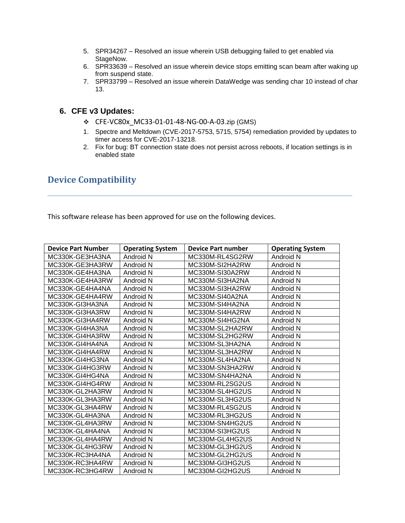- 5. SPR34267 Resolved an issue wherein USB debugging failed to get enabled via StageNow.
- 6. SPR33639 Resolved an issue wherein device stops emitting scan beam after waking up from suspend state.
- 7. SPR33799 Resolved an issue wherein DataWedge was sending char 10 instead of char 13.

#### **6. CFE v3 Updates:**

- ❖ CFE-VC80x\_MC33-01-01-48-NG-00-A-03.zip (GMS)
- 1. Spectre and Meltdown (CVE-2017-5753, 5715, 5754) remediation provided by updates to timer access for CVE-2017-13218.
- 2. Fix for bug: BT connection state does not persist across reboots, if location settings is in enabled state

# <span id="page-7-0"></span>**Device Compatibility**

This software release has been approved for use on the following devices.

| <b>Device Part Number</b> | <b>Operating System</b> | <b>Device Part number</b> | <b>Operating System</b> |
|---------------------------|-------------------------|---------------------------|-------------------------|
| MC330K-GE3HA3NA           | Android N               | MC330M-RL4SG2RW           | Android N               |
| MC330K-GE3HA3RW           | Android N               | MC330M-SI2HA2RW           | Android N               |
| MC330K-GE4HA3NA           | Android N               | MC330M-SI30A2RW           | Android N               |
| MC330K-GE4HA3RW           | Android N               | MC330M-SI3HA2NA           | Android N               |
| MC330K-GE4HA4NA           | Android N               | MC330M-SI3HA2RW           | Android N               |
| MC330K-GE4HA4RW           | Android N               | MC330M-SI40A2NA           | Android N               |
| MC330K-GI3HA3NA           | Android N               | MC330M-SI4HA2NA           | Android N               |
| MC330K-GI3HA3RW           | Android N               | MC330M-SI4HA2RW           | Android N               |
| MC330K-GI3HA4RW           | Android N               | MC330M-SI4HG2NA           | Android N               |
| MC330K-GI4HA3NA           | Android N               | MC330M-SL2HA2RW           | Android N               |
| MC330K-GI4HA3RW           | Android N               | MC330M-SL2HG2RW           | Android N               |
| MC330K-GI4HA4NA           | Android N               | MC330M-SL3HA2NA           | Android N               |
| MC330K-GI4HA4RW           | Android N               | MC330M-SL3HA2RW           | Android N               |
| MC330K-GI4HG3NA           | Android N               | MC330M-SL4HA2NA           | Android N               |
| MC330K-GI4HG3RW           | Android N               | MC330M-SN3HA2RW           | Android N               |
| MC330K-GI4HG4NA           | Android N               | MC330M-SN4HA2NA           | Android N               |
| MC330K-GI4HG4RW           | Android N               | MC330M-RL2SG2US           | Android N               |
| MC330K-GL2HA3RW           | Android N               | MC330M-SL4HG2US           | Android N               |
| MC330K-GL3HA3RW           | Android N               | MC330M-SL3HG2US           | Android N               |
| MC330K-GL3HA4RW           | Android N               | MC330M-RL4SG2US           | Android N               |
| MC330K-GL4HA3NA           | Android N               | MC330M-RL3HG2US           | Android N               |
| MC330K-GL4HA3RW           | Android N               | MC330M-SN4HG2US           | Android N               |
| MC330K-GL4HA4NA           | Android N               | MC330M-SI3HG2US           | Android N               |
| MC330K-GL4HA4RW           | Android N               | MC330M-GL4HG2US           | Android N               |
| MC330K-GL4HG3RW           | Android N               | MC330M-GL3HG2US           | Android N               |
| MC330K-RC3HA4NA           | Android N               | MC330M-GL2HG2US           | Android N               |
| MC330K-RC3HA4RW           | Android N               | MC330M-GI3HG2US           | Android N               |
| MC330K-RC3HG4RW           | Android N               | MC330M-GI2HG2US           | Android N               |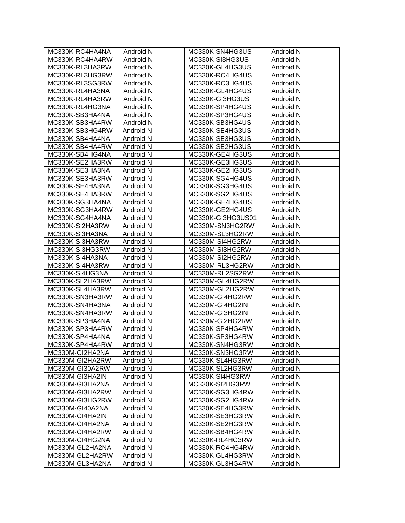| MC330K-RC4HA4NA | Android N | MC330K-SN4HG3US   | Android N |
|-----------------|-----------|-------------------|-----------|
| MC330K-RC4HA4RW | Android N | MC330K-SI3HG3US   | Android N |
| MC330K-RL3HA3RW | Android N | MC330K-GL4HG3US   | Android N |
| MC330K-RL3HG3RW | Android N | MC330K-RC4HG4US   | Android N |
| MC330K-RL3SG3RW | Android N | MC330K-RC3HG4US   | Android N |
| MC330K-RL4HA3NA | Android N | MC330K-GL4HG4US   | Android N |
| MC330K-RL4HA3RW | Android N | MC330K-GI3HG3US   | Android N |
| MC330K-RL4HG3NA | Android N | MC330K-SP4HG4US   | Android N |
| MC330K-SB3HA4NA | Android N | MC330K-SP3HG4US   | Android N |
| MC330K-SB3HA4RW | Android N | MC330K-SB3HG4US   | Android N |
| MC330K-SB3HG4RW | Android N | MC330K-SE4HG3US   | Android N |
| MC330K-SB4HA4NA | Android N | MC330K-SE3HG3US   | Android N |
| MC330K-SB4HA4RW | Android N | MC330K-SE2HG3US   | Android N |
|                 |           |                   |           |
| MC330K-SB4HG4NA | Android N | MC330K-GE4HG3US   | Android N |
| MC330K-SE2HA3RW | Android N | MC330K-GE3HG3US   | Android N |
| MC330K-SE3HA3NA | Android N | MC330K-GE2HG3US   | Android N |
| MC330K-SE3HA3RW | Android N | MC330K-SG4HG4US   | Android N |
| MC330K-SE4HA3NA | Android N | MC330K-SG3HG4US   | Android N |
| MC330K-SE4HA3RW | Android N | MC330K-SG2HG4US   | Android N |
| MC330K-SG3HA4NA | Android N | MC330K-GE4HG4US   | Android N |
| MC330K-SG3HA4RW | Android N | MC330K-GE2HG4US   | Android N |
| MC330K-SG4HA4NA | Android N | MC330K-GI3HG3US01 | Android N |
| MC330K-SI2HA3RW | Android N | MC330M-SN3HG2RW   | Android N |
| MC330K-SI3HA3NA | Android N | MC330M-SL3HG2RW   | Android N |
| MC330K-SI3HA3RW | Android N | MC330M-SI4HG2RW   | Android N |
| MC330K-SI3HG3RW | Android N | MC330M-SI3HG2RW   | Android N |
| MC330K-SI4HA3NA | Android N | MC330M-SI2HG2RW   | Android N |
| MC330K-SI4HA3RW | Android N | MC330M-RL3HG2RW   | Android N |
| MC330K-SI4HG3NA | Android N | MC330M-RL2SG2RW   | Android N |
| MC330K-SL2HA3RW | Android N | MC330M-GL4HG2RW   | Android N |
| MC330K-SL4HA3RW | Android N | MC330M-GL2HG2RW   | Android N |
| MC330K-SN3HA3RW | Android N | MC330M-GI4HG2RW   | Android N |
| MC330K-SN4HA3NA | Android N | MC330M-GI4HG2IN   | Android N |
| MC330K-SN4HA3RW | Android N | MC330M-GI3HG2IN   | Android N |
| MC330K-SP3HA4NA | Android N | MC330M-GI2HG2RW   | Android N |
| MC330K-SP3HA4RW | Android N | MC330K-SP4HG4RW   | Android N |
| MC330K-SP4HA4NA | Android N | MC330K-SP3HG4RW   | Android N |
| MC330K-SP4HA4RW | Android N | MC330K-SN4HG3RW   | Android N |
| MC330M-GI2HA2NA | Android N | MC330K-SN3HG3RW   | Android N |
| MC330M-GI2HA2RW | Android N | MC330K-SL4HG3RW   | Android N |
| MC330M-GI30A2RW | Android N | MC330K-SL2HG3RW   | Android N |
| MC330M-GI3HA2IN | Android N | MC330K-SI4HG3RW   | Android N |
| MC330M-GI3HA2NA | Android N | MC330K-SI2HG3RW   | Android N |
| MC330M-GI3HA2RW | Android N | MC330K-SG3HG4RW   | Android N |
| MC330M-GI3HG2RW | Android N | MC330K-SG2HG4RW   | Android N |
| MC330M-GI40A2NA | Android N | MC330K-SE4HG3RW   | Android N |
| MC330M-GI4HA2IN | Android N | MC330K-SE3HG3RW   | Android N |
| MC330M-GI4HA2NA | Android N | MC330K-SE2HG3RW   | Android N |
| MC330M-GI4HA2RW | Android N | MC330K-SB4HG4RW   | Android N |
| MC330M-GI4HG2NA | Android N | MC330K-RL4HG3RW   | Android N |
| MC330M-GL2HA2NA | Android N | MC330K-RC4HG4RW   | Android N |
| MC330M-GL2HA2RW | Android N | MC330K-GL4HG3RW   | Android N |
| MC330M-GL3HA2NA | Android N | MC330K-GL3HG4RW   | Android N |
|                 |           |                   |           |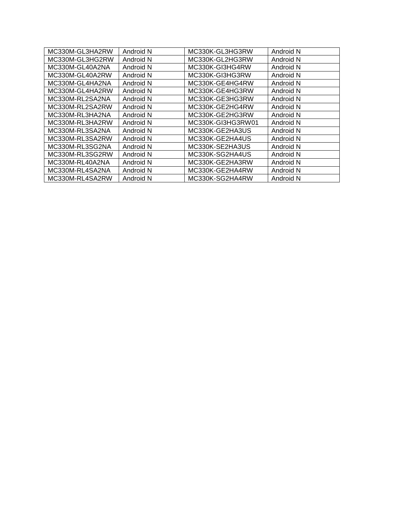| MC330M-GL3HA2RW | Android N | MC330K-GL3HG3RW   | Android N |
|-----------------|-----------|-------------------|-----------|
| MC330M-GL3HG2RW | Android N | MC330K-GL2HG3RW   | Android N |
| MC330M-GL40A2NA | Android N | MC330K-GI3HG4RW   | Android N |
| MC330M-GL40A2RW | Android N | MC330K-GI3HG3RW   | Android N |
| MC330M-GL4HA2NA | Android N | MC330K-GE4HG4RW   | Android N |
| MC330M-GL4HA2RW | Android N | MC330K-GE4HG3RW   | Android N |
| MC330M-RL2SA2NA | Android N | MC330K-GE3HG3RW   | Android N |
| MC330M-RL2SA2RW | Android N | MC330K-GE2HG4RW   | Android N |
| MC330M-RL3HA2NA | Android N | MC330K-GE2HG3RW   | Android N |
| MC330M-RL3HA2RW | Android N | MC330K-GI3HG3RW01 | Android N |
| MC330M-RL3SA2NA | Android N | MC330K-GE2HA3US   | Android N |
| MC330M-RL3SA2RW | Android N | MC330K-GE2HA4US   | Android N |
| MC330M-RL3SG2NA | Android N | MC330K-SE2HA3US   | Android N |
| MC330M-RL3SG2RW | Android N | MC330K-SG2HA4US   | Android N |
| MC330M-RL40A2NA | Android N | MC330K-GE2HA3RW   | Android N |
| MC330M-RL4SA2NA | Android N | MC330K-GE2HA4RW   | Android N |
| MC330M-RL4SA2RW | Android N | MC330K-SG2HA4RW   | Android N |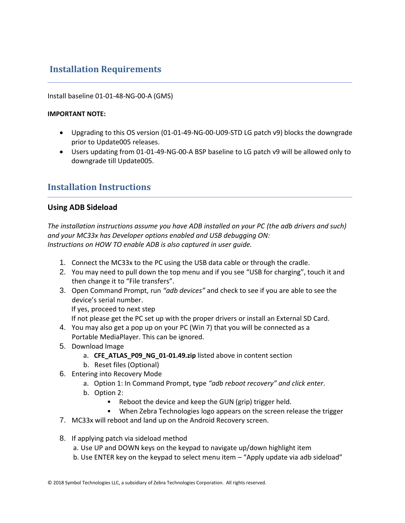# <span id="page-10-0"></span>**Installation Requirements**

#### Install baseline 01-01-48-NG-00-A (GMS)

#### **IMPORTANT NOTE:**

- Upgrading to this OS version (01-01-49-NG-00-U09-STD LG patch v9) blocks the downgrade prior to Update005 releases.
- Users updating from 01-01-49-NG-00-A BSP baseline to LG patch v9 will be allowed only to downgrade till Update005.

# <span id="page-10-1"></span>**Installation Instructions**

#### **Using ADB Sideload**

*The installation instructions assume you have ADB installed on your PC (the adb drivers and such) and your MC33x has Developer options enabled and USB debugging ON: Instructions on HOW TO enable ADB is also captured in user guide.*

- 1. Connect the MC33x to the PC using the USB data cable or through the cradle.
- 2. You may need to pull down the top menu and if you see "USB for charging", touch it and then change it to "File transfers".
- 3. Open Command Prompt, run *"adb devices"* and check to see if you are able to see the device's serial number.

If yes, proceed to next step

If not please get the PC set up with the proper drivers or install an External SD Card.

- 4. You may also get a pop up on your PC (Win 7) that you will be connected as a Portable MediaPlayer. This can be ignored.
- 5. Download Image
	- a. **CFE\_ATLAS\_P09\_NG\_01-01.49.zip** listed above in content section
	- b. Reset files (Optional)
- 6. Entering into Recovery Mode
	- a. Option 1: In Command Prompt, type *"adb reboot recovery" and click enter*.
	- b. Option 2:
		- Reboot the device and keep the GUN (grip) trigger held.
		- When Zebra Technologies logo appears on the screen release the trigger
- 7. MC33x will reboot and land up on the Android Recovery screen.
- 8. If applying patch via sideload method
	- a. Use UP and DOWN keys on the keypad to navigate up/down highlight item
	- b. Use ENTER key on the keypad to select menu item "Apply update via adb sideload"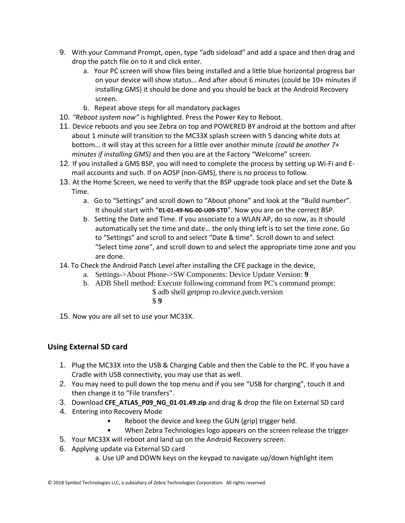- 9. With your Command Prompt, open, type "adb sideload" and add a space and then drag and drop the patch file on to it and click enter.
	- a. Your PC screen will show files being installed and a little blue horizontal progress bar on your device will show status… And after about 6 minutes (could be 10+ minutes if installing GMS) it should be done and you should be back at the Android Recovery screen.
	- b. Repeat above steps for all mandatory packages
- 10. *"Reboot system now"* is highlighted. Press the Power Key to Reboot.
- 11. Device reboots and you see Zebra on top and POWERED BY android at the bottom and after about 1 minute will transition to the MC33X splash screen with 5 dancing white dots at bottom… it will stay at this screen for a little over another minute *(could be another 7+ minutes if installing GMS)* and then you are at the Factory "Welcome" screen.
- 12. If you installed a GMS BSP, you will need to complete the process by setting up Wi‐Fi and E‐ mail accounts and such. If on AOSP (non‐GMS), there is no process to follow.
- 13. At the Home Screen, we need to verify that the BSP upgrade took place and set the Date & Time.
	- a. Go to "Settings" and scroll down to "About phone" and look at the "Build number". It should start with "**01-01-49-NG-00-U09-STD**". Now you are on the correct BSP.
	- b. Setting the Date and Time. If you associate to a WLAN AP, do so now, as it should automatically set the time and date… the only thing left is to set the time zone. Go to "Settings" and scroll to and select "Date & time". Scroll down to and select "Select time zone", and scroll down to and select the appropriate time zone and you are done.
- 14. To Check the Android Patch Level after installing the CFE package in the device,
	- a. Settings->About Phone->SW Components: Device Update Version: **9**
	- b. ADB Shell method: Execute following command from PC's command prompt:
		- \$ adb shell getprop ro.device.patch.version
			- \$ **9**
- 15. Now you are all set to use your MC33X.

## **Using External SD card**

- 1. Plug the MC33X into the USB & Charging Cable and then the Cable to the PC. If you have a Cradle with USB connectivity, you may use that as well.
- 2. You may need to pull down the top menu and if you see "USB for charging", touch it and then change it to "File transfers".
- 3. Download **CFE\_ATLAS\_P09\_NG\_01-01.49.zip** and drag & drop the file on External SD card
- 4. Entering into Recovery Mode
	- Reboot the device and keep the GUN (grip) trigger held.
	- When Zebra Technologies logo appears on the screen release the trigger
- 5. Your MC33X will reboot and land up on the Android Recovery screen.
- 6. Applying update via External SD card
	- a. Use UP and DOWN keys on the keypad to navigate up/down highlight item